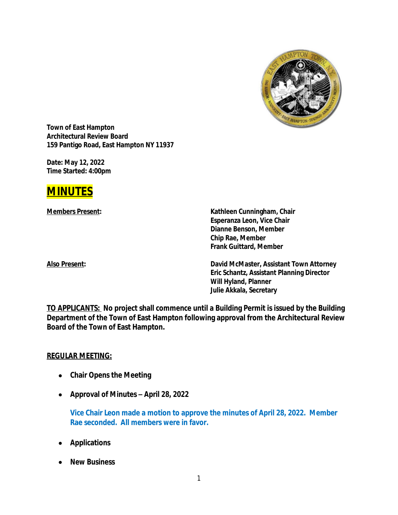

**Town of East Hampton Architectural Review Board 159 Pantigo Road, East Hampton NY 11937**

**Date: May 12, 2022 Time Started: 4:00pm**



**Members Present: Kathleen Cunningham, Chair Esperanza Leon, Vice Chair Dianne Benson, Member Chip Rae, Member Frank Guittard, Member**

**Also Present: David McMaster, Assistant Town Attorney Eric Schantz, Assistant Planning Director Will Hyland, Planner Julie Akkala, Secretary**

**TO APPLICANTS: No project shall commence until a Building Permit is issued by the Building Department of the Town of East Hampton following approval from the Architectural Review Board of the Town of East Hampton.**

#### **REGULAR MEETING:**

- **Chair Opens the Meeting**
- **Approval of Minutes –** *April 28, 2022*

**Vice Chair Leon made a motion to approve the minutes of April 28, 2022. Member Rae seconded. All members were in favor.**

- **Applications**
- **New Business**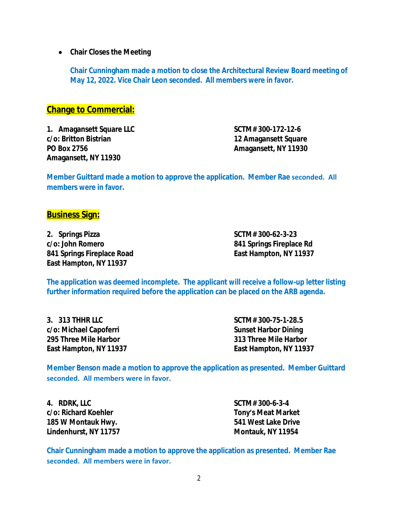**Chair Closes the Meeting**

**Chair Cunningham made a motion to close the Architectural Review Board meeting of May 12, 2022. Vice Chair Leon seconded. All members were in favor.**

### **Change to Commercial:**

**1. Amagansett Square LLC SCTM# 300-172-12-6 c/o: Britton Bistrian 12 Amagansett Square PO Box 2756 Amagansett, NY 11930 Amagansett, NY 11930**

**Member Guittard made a motion to approve the application. Member Rae seconded. All members were in favor.**

### **Business Sign:**

**2. Springs Pizza SCTM# 300-62-3-23 c/o: John Romero 841 Springs Fireplace Rd 841 Springs Fireplace Road East Hampton, NY 11937 East Hampton, NY 11937**

**The application was deemed incomplete. The applicant will receive a follow-up letter listing further information required before the application can be placed on the ARB agenda.**

**3. 313 THHR LLC SCTM# 300-75-1-28.5 c/o: Michael Capoferri Sunset Harbor Dining 295 Three Mile Harbor 313 Three Mile Harbor East Hampton, NY 11937 East Hampton, NY 11937**

**Member Benson made a motion to approve the application as presented. Member Guittard seconded. All members were in favor.**

**4. RDRK, LLC SCTM# 300-6-3-4 c/o: Richard Koehler Tony's Meat Market 185 W Montauk Hwy. 541 West Lake Drive Lindenhurst, NY 11757 Montauk, NY 11954**

**Chair Cunningham made a motion to approve the application as presented. Member Rae seconded. All members were in favor.**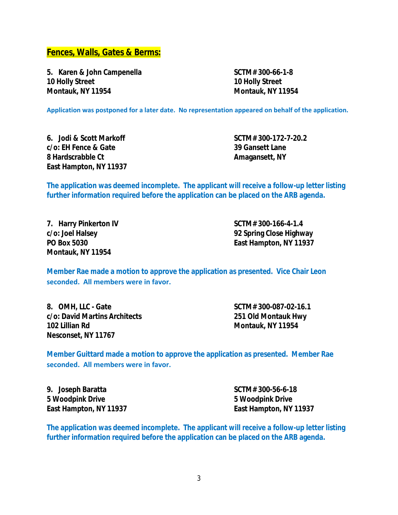**Fences, Walls, Gates & Berms:**

**5. Karen & John Campenella SCTM# 300-66-1-8 10 Holly Street 10 Holly Street Montauk, NY 11954 Montauk, NY 11954**

**Application was postponed for a later date. No representation appeared on behalf of the application.**

**6. Jodi & Scott Markoff SCTM# 300-172-7-20.2 c/o: EH Fence & Gate 39 Gansett Lane 8 Hardscrabble Ct Amagansett**, NY **East Hampton, NY 11937**

**The application was deemed incomplete. The applicant will receive a follow-up letter listing further information required before the application can be placed on the ARB agenda.**

**7. Harry Pinkerton IV SCTM# 300-166-4-1.4 Montauk, NY 11954**

**c/o: Joel Halsey 92 Spring Close Highway PO Box 5030 East Hampton, NY 11937**

**Member Rae made a motion to approve the application as presented. Vice Chair Leon seconded. All members were in favor.**

**8. OMH, LLC - Gate SCTM# 300-087-02-16.1 c/o: David Martins Architects 251 Old Montauk Hwy 102 Lillian Rd Montauk, NY 11954 Nesconset, NY 11767**

**Member Guittard made a motion to approve the application as presented. Member Rae seconded. All members were in favor.**

**9. Joseph Baratta SCTM# 300-56-6-18 5 Woodpink Drive 5 Woodpink Drive**

**East Hampton, NY 11937 East Hampton, NY 11937**

**The application was deemed incomplete. The applicant will receive a follow-up letter listing further information required before the application can be placed on the ARB agenda.**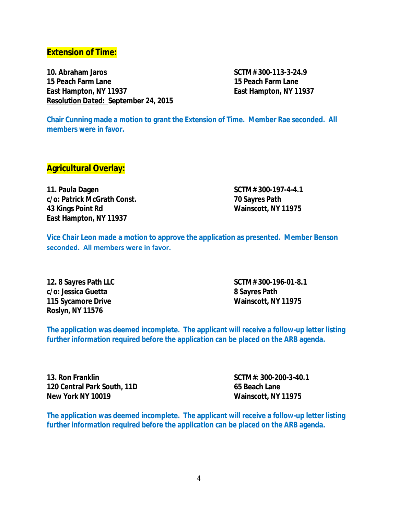## **Extension of Time:**

**10. Abraham Jaros SCTM# 300-113-3-24.9 15 Peach Farm Lane 15 Peach Farm Lane East Hampton, NY 11937 East Hampton, NY 11937** *Resolution Dated:* **September 24, 2015**

**Chair Cunning made a motion to grant the Extension of Time. Member Rae seconded. All members were in favor.**

### **Agricultural Overlay:**

**11. Paula Dagen SCTM# 300-197-4-4.1 c/o: Patrick McGrath Const. 70 Sayres Path 43 Kings Point Rd Wainscott, NY 11975 East Hampton, NY 11937**

**Vice Chair Leon made a motion to approve the application as presented. Member Benson seconded. All members were in favor.**

**c/o: Jessica Guetta 8 Sayres Path 115 Sycamore Drive Wainscott, NY 11975 Roslyn, NY 11576**

**12. 8 Sayres Path LLC SCTM# 300-196-01-8.1**

**The application was deemed incomplete. The applicant will receive a follow-up letter listing further information required before the application can be placed on the ARB agenda.**

**13. Ron Franklin SCTM#: 300-200-3-40.1 120 Central Park South, 11D 65 Beach Lane New York NY 10019 Wainscott, NY 11975**

**The application was deemed incomplete. The applicant will receive a follow-up letter listing further information required before the application can be placed on the ARB agenda.**

4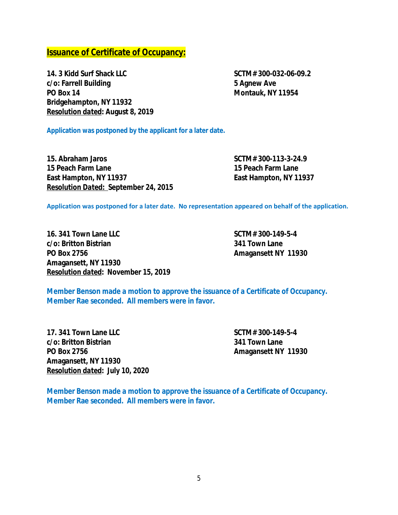# **Issuance of Certificate of Occupancy:**

**14. 3 Kidd Surf Shack LLC SCTM# 300-032-06-09.2 c/o: Farrell Building 5 Agnew Ave PO Box 14 Montauk, NY 11954 Bridgehampton, NY 11932** *Resolution dated***: August 8, 2019**

**Application was postponed by the applicant for a later date.**

**15. Abraham Jaros SCTM# 300-113-3-24.9 15 Peach Farm Lane 15 Peach Farm Lane East Hampton, NY 11937 East Hampton, NY 11937** *Resolution Dated:* **September 24, 2015**

**Application was postponed for a later date. No representation appeared on behalf of the application.**

**16. 341 Town Lane LLC SCTM# 300-149-5-4 c/o: Britton Bistrian 341 Town Lane PO Box 2756 Amagansett NY 11930 Amagansett, NY 11930** *Resolution dated***:** *November 15, 2019*

**Member Benson made a motion to approve the issuance of a Certificate of Occupancy. Member Rae seconded. All members were in favor.**

**17. 341 Town Lane LLC SCTM# 300-149-5-4 c/o: Britton Bistrian 341 Town Lane PO Box 2756 Amagansett NY 11930 Amagansett, NY 11930** *Resolution dated***:** *July 10, 2020*

**Member Benson made a motion to approve the issuance of a Certificate of Occupancy. Member Rae seconded. All members were in favor.**